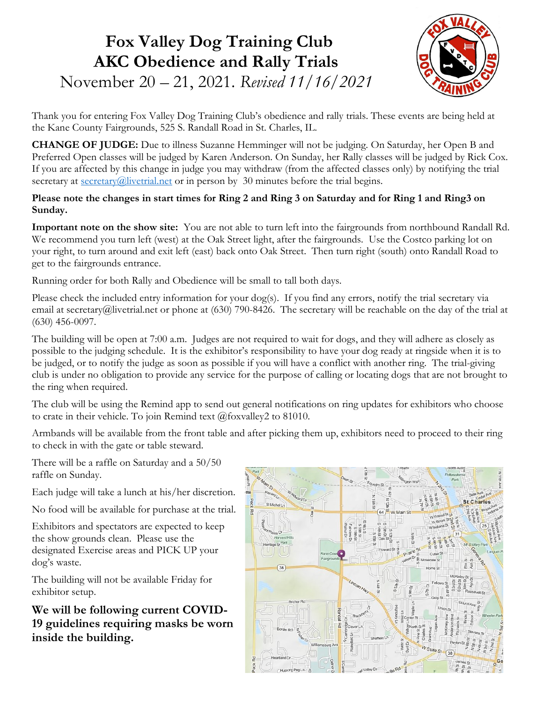# Fox Valley Dog Training Club AKC Obedience and Rally Trials



November 20 – 21, 2021. Revised 11/16/2021

Thank you for entering Fox Valley Dog Training Club's obedience and rally trials. These events are being held at the Kane County Fairgrounds, 525 S. Randall Road in St. Charles, IL.

CHANGE OF JUDGE: Due to illness Suzanne Hemminger will not be judging. On Saturday, her Open B and Preferred Open classes will be judged by Karen Anderson. On Sunday, her Rally classes will be judged by Rick Cox. If you are affected by this change in judge you may withdraw (from the affected classes only) by notifying the trial secretary at  $\frac{\text{secretary}(a)\text{livertrial.net}}{\text{irrial}}$  or in person by 30 minutes before the trial begins.

#### Please note the changes in start times for Ring 2 and Ring 3 on Saturday and for Ring 1 and Ring3 on Sunday.

Important note on the show site: You are not able to turn left into the fairgrounds from northbound Randall Rd. We recommend you turn left (west) at the Oak Street light, after the fairgrounds. Use the Costco parking lot on your right, to turn around and exit left (east) back onto Oak Street. Then turn right (south) onto Randall Road to get to the fairgrounds entrance.

Running order for both Rally and Obedience will be small to tall both days.

Please check the included entry information for your dog(s). If you find any errors, notify the trial secretary via email at secretary@livetrial.net or phone at (630) 790-8426. The secretary will be reachable on the day of the trial at (630) 456-0097.

The building will be open at 7:00 a.m. Judges are not required to wait for dogs, and they will adhere as closely as possible to the judging schedule. It is the exhibitor's responsibility to have your dog ready at ringside when it is to be judged, or to notify the judge as soon as possible if you will have a conflict with another ring. The trial-giving club is under no obligation to provide any service for the purpose of calling or locating dogs that are not brought to the ring when required.

The club will be using the Remind app to send out general notifications on ring updates for exhibitors who choose to crate in their vehicle. To join Remind text @foxvalley2 to 81010.

Armbands will be available from the front table and after picking them up, exhibitors need to proceed to their ring to check in with the gate or table steward.

There will be a raffle on Saturday and a 50/50 raffle on Sunday.

Each judge will take a lunch at his/her discretion.

No food will be available for purchase at the trial.

Exhibitors and spectators are expected to keep the show grounds clean. Please use the designated Exercise areas and PICK UP your dog's waste.

The building will not be available Friday for exhibitor setup.

We will be following current COVID-19 guidelines requiring masks be worn inside the building.

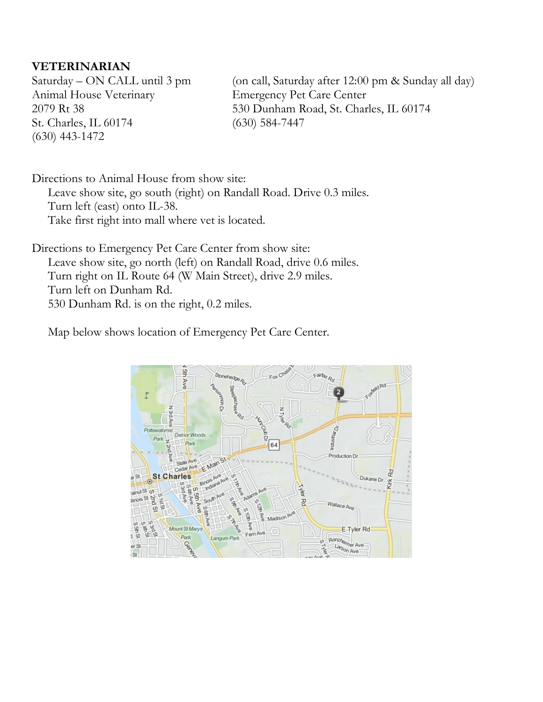### VETERINARIAN

Saturday – ON CALL until 3 pm Animal House Veterinary 2079 Rt 38 St. Charles, IL 60174 (630) 443-1472

(on call, Saturday after 12:00 pm & Sunday all day) Emergency Pet Care Center 530 Dunham Road, St. Charles, IL 60174 (630) 584-7447

Directions to Animal House from show site: Leave show site, go south (right) on Randall Road. Drive 0.3 miles. Turn left (east) onto IL-38. Take first right into mall where vet is located.

Directions to Emergency Pet Care Center from show site: Leave show site, go north (left) on Randall Road, drive 0.6 miles. Turn right on IL Route 64 (W Main Street), drive 2.9 miles. Turn left on Dunham Rd. 530 Dunham Rd. is on the right, 0.2 miles.

Map below shows location of Emergency Pet Care Center.

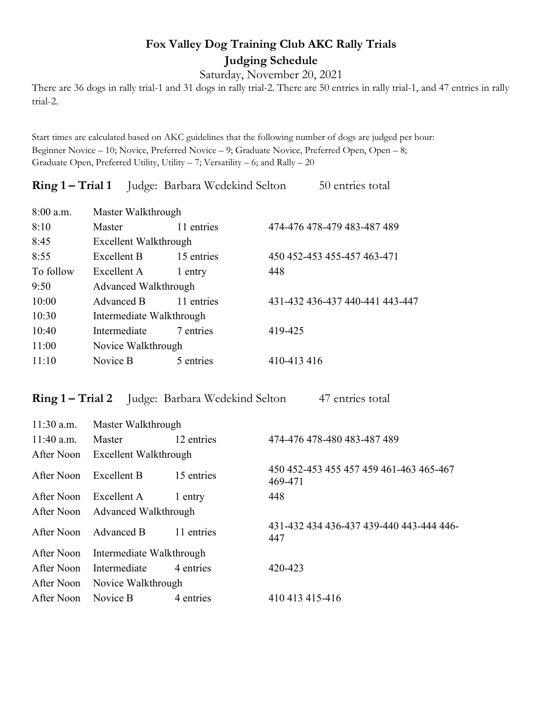## Fox Valley Dog Training Club AKC Rally Trials Judging Schedule

Saturday, November 20, 2021

There are 36 dogs in rally trial-1 and 31 dogs in rally trial-2. There are 50 entries in rally trial-1, and 47 entries in rally trial-2.

Start times are calculated based on AKC guidelines that the following number of dogs are judged per hour: Beginner Novice – 10; Novice, Preferred Novice – 9; Graduate Novice, Preferred Open, Open – 8; Graduate Open, Preferred Utility, Utility – 7; Versatility – 6; and Rally – 20

|             |                          | <b>Ring 1 – Trial 1</b> Judge: Barbara Wedekind Selton |             | 50 entries total                |  |
|-------------|--------------------------|--------------------------------------------------------|-------------|---------------------------------|--|
| $8:00$ a.m. | Master Walkthrough       |                                                        |             |                                 |  |
| 8:10        | Master                   | 11 entries                                             |             | 474-476 478-479 483-487 489     |  |
| 8:45        | Excellent Walkthrough    |                                                        |             |                                 |  |
| 8:55        | Excellent B              | 15 entries                                             |             | 450 452-453 455-457 463-471     |  |
| To follow   | Excellent A              | 1 entry                                                | 448         |                                 |  |
| 9:50        | Advanced Walkthrough     |                                                        |             |                                 |  |
| 10:00       | Advanced B               | 11 entries                                             |             | 431-432 436-437 440-441 443-447 |  |
| 10:30       | Intermediate Walkthrough |                                                        |             |                                 |  |
| 10:40       | Intermediate             | 7 entries                                              | 419-425     |                                 |  |
| 11:00       | Novice Walkthrough       |                                                        |             |                                 |  |
| 11:10       | Novice B                 | 5 entries                                              | 410-413 416 |                                 |  |

## Ring 1 – Trial 2 Judge: Barbara Wedekind Selton 47 entries total

| $11:30$ a.m. | Master Walkthrough              |            |                                                    |  |  |
|--------------|---------------------------------|------------|----------------------------------------------------|--|--|
| $11:40$ a.m. | Master                          | 12 entries | 474-476 478-480 483-487 489                        |  |  |
| After Noon   | Excellent Walkthrough           |            |                                                    |  |  |
| After Noon   | Excellent B                     | 15 entries | 450 452-453 455 457 459 461-463 465-467<br>469-471 |  |  |
| After Noon   | Excellent A                     | 1 entry    | 448                                                |  |  |
|              | After Noon Advanced Walkthrough |            |                                                    |  |  |
| After Noon   | Advanced B                      | 11 entries | 431-432 434 436-437 439-440 443-444 446-<br>447    |  |  |
| After Noon   | Intermediate Walkthrough        |            |                                                    |  |  |
| After Noon   | Intermediate                    | 4 entries  | 420-423                                            |  |  |
| After Noon   | Novice Walkthrough              |            |                                                    |  |  |
| After Noon   | Novice B                        | 4 entries  | 410 413 415 - 416                                  |  |  |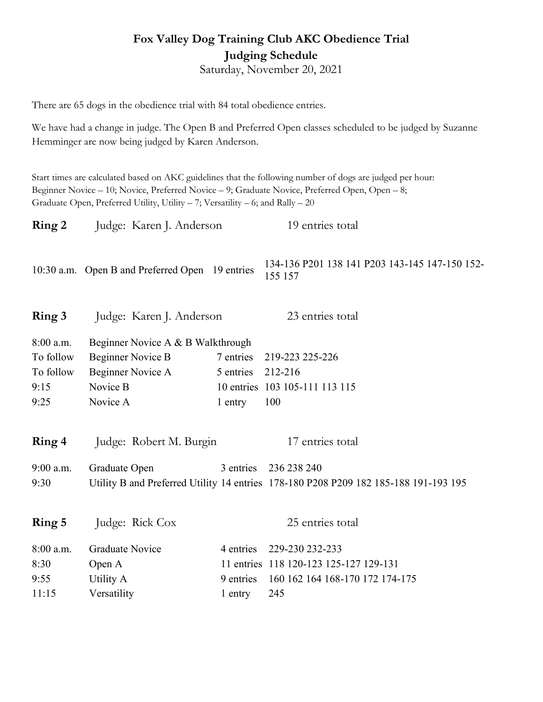## Fox Valley Dog Training Club AKC Obedience Trial Judging Schedule

Saturday, November 20, 2021

There are 65 dogs in the obedience trial with 84 total obedience entries.

We have had a change in judge. The Open B and Preferred Open classes scheduled to be judged by Suzanne Hemminger are now being judged by Karen Anderson.

Start times are calculated based on AKC guidelines that the following number of dogs are judged per hour: Beginner Novice – 10; Novice, Preferred Novice – 9; Graduate Novice, Preferred Open, Open – 8; Graduate Open, Preferred Utility, Utility – 7; Versatility – 6; and Rally – 20

| Ring 2      | Judge: Karen J. Anderson                        |                   | 19 entries total                                                                     |
|-------------|-------------------------------------------------|-------------------|--------------------------------------------------------------------------------------|
|             | 10:30 a.m. Open B and Preferred Open 19 entries |                   | 134-136 P201 138 141 P203 143-145 147-150 152-<br>155 157                            |
| Ring 3      | Judge: Karen J. Anderson                        |                   | 23 entries total                                                                     |
| $8:00$ a.m. | Beginner Novice A & B Walkthrough               |                   |                                                                                      |
| To follow   | <b>Beginner Novice B</b>                        | 7 entries         | 219-223 225-226                                                                      |
| To follow   | Beginner Novice A                               | 5 entries 212-216 |                                                                                      |
| 9:15        | Novice B                                        |                   | 10 entries 103 105-111 113 115                                                       |
| 9:25        | Novice A                                        | 1 entry           | 100                                                                                  |
|             |                                                 |                   |                                                                                      |
| Ring 4      | Judge: Robert M. Burgin                         |                   | 17 entries total                                                                     |
| 9:00 a.m.   | Graduate Open                                   |                   | 3 entries 236 238 240                                                                |
| 9:30        |                                                 |                   | Utility B and Preferred Utility 14 entries 178-180 P208 P209 182 185-188 191-193 195 |
|             |                                                 |                   |                                                                                      |
| Ring 5      | Judge: Rick Cox                                 |                   | 25 entries total                                                                     |
| 8:00 a.m.   | <b>Graduate Novice</b>                          | 4 entries         | 229-230 232-233                                                                      |
| 8:30        | Open A                                          |                   | 11 entries 118 120-123 125-127 129-131                                               |
| 9:55        | Utility A                                       | 9 entries         | 160 162 164 168-170 172 174-175                                                      |
| 11:15       | Versatility                                     | 1 entry           | 245                                                                                  |